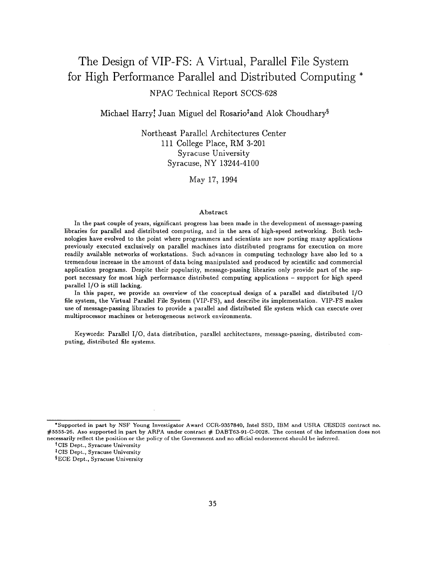# **The Design of VIP-FS: A Virtual, Parallel File System for High Performance Parallel and Distributed Computing**  NPAC Technical Report SCCS-628

Michael Harry<sup>†</sup>, Juan Miguel del Rosario<sup>‡</sup>and Alok Choudhary<sup>§</sup>

Northeast Parallel Architectures Center 111 College Place, RM 3-201 Syracuse University Syracuse, NY 13244-4100

May 17, 1994

#### Abstract

In the past couple of years, significant progress has been made in the development of message-passing libraries for parallel and distributed computing, and in the area of high-speed networking. Both technologies have evolved to the point where programmers and scientists are now porting many applications previously executed exclusively on parallel machines into distributed programs for execution on more readily available networks of workstations. Such advances in computing technology have also led to a tremendous increase in the amount of data being manipulated and produced by scientific and commercial application programs. Despite their popularity, message-passing libraries only provide part of the support necessary for most high performance distributed computing applications - support for high speed parallel I/O is still lacking.

In this paper, we provide an overview of the conceptual design of a parallel and distributed I/O file system, the Virtual Parallel File System (VIP-FS), and describe its implementation. VIP-FS makes use of message-passing libraries to provide a parallel and distributed file system which can execute over multiprocessor machines or heterogeneous network environments.

Keywords: Parallel I/O, data distribution, parallel architectures, message-passing, distributed computing, distributed file systems.

<sup>\*</sup>Supported in part by NSF Young Investigator Award CCR-9357840, Intel SSD, IBM and USRA CESDIS contract no.  $\#5555-26$ . Aso supported in part by ARPA under contract  $\#$  DABT63-91-C-0028. The content of the information does not necessarily reflect the position or the policy of the Government and no official endorsement should be inferred.

t CIS Dept., Syracuse University

CIS Dept., Syracuse University

<sup>§</sup> ECE Dept., Syracuse University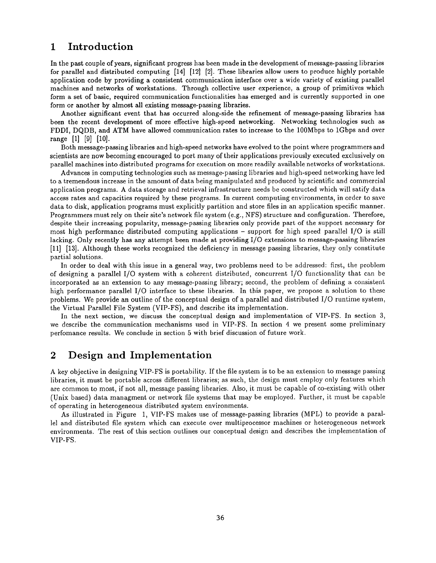### **1 Introduction**

In the past couple of years, significant progress has been made in the development of message-passing libraries for parallel and distributed computing [14] [12] [2]. These libraries allow users to produce highly portable application code by providing a consistent communication interface over a wide variety of existing parallel machines and networks of workstations. Through collective user experience, a group of primitives which form a set of basic, required communication functionalities has emerged and is currently supported in one form or another by almost all existing message-passing libraries.

Another significant event that has occurred along-side the refinement of message-passing libraries has been the recent development of more effective high-speed networking. Networking technologies such as FDDI, DQDB, and ATM have allowed communication rates to increase to the 100Mbps to 1Gbps and over range [1] [9] [10].

Both message-passing libraries and high-speed networks have evolved to the point where programmers and scientists are now becoming encouraged to port many of their applications previously executed exclusively on parallel machines into distributed programs for execution on more readily available networks of workstations.

Advances in computing technologies such as message-passing libraries and high-speed networking have led to a tremendous increase in the amount of data being manipulated and produced by scientific and commercial application programs. A data storage and retrieval infrastructure needs be constructed which will satify data access rates and capacities required by these programs. In current computing environments, in order to save data to disk, application programs must explicitly partition and store files in an application specific manner. Programmers must rely on their site's network file system (e.g., NFS) structure and configuration. Therefore, despite their increasing popularity, message-passing libraries only provide part of the support necessary for most high performance distributed computing applications - support for high speed parallel I/O is still lacking. Only recently has any attempt been made at providing I/O extensions to message-passing libraries [11] [13]. Although these works recognized the deficiency in message passing libraries, they only constitute partial solutions.

In order to deal with this issue in a general way, two problems need to be addressed: first, the problem of designing a parallel I/O system with a coherent distributed, concurrent I/O functionality that can be incorporated as an extension to any message-passing library; second, the problem of defining a consistent high performance parallel I/O interface to these libraries. In this paper, we propose a solution to these problems. We provide an outline of the conceptual design of a parallel and distributed I/O runtime system, the Virtual Parallel File System (VIP-FS), and describe its implementation.

In the next section, we discuss the conceptual design and implementation of VIP-FS. In section 3, we describe the communication mechanisms used in VIP-FS. In section 4 we present some preliminary perfomance results. We conclude in section 5 with brief discussion of future work.

# **2 Design and Implementation**

A key objective in designing VIP-FS is portability. If the file system is to be an extension to message passing libraries, it must be portable across different libraries; as such, the design must employ only features which are common to most, if not all, message passing libraries. Also, it must be capable of co-existing with other (Unix based) data managment or network file systems that may be employed. Further, it must be capable of operating in heterogeneous distributed system environments.

As illustrated in Figure 1, VIP-FS makes use of message-passing libraries (MPL) to provide a parallel and distributed file system which can execute over multiprocessor machines or heterogeneous network environments. The rest of this section outlines our conceptual design and describes the implementation of VIP-FS.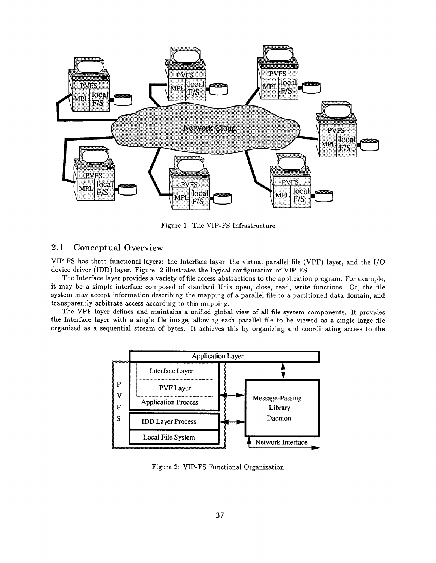

Figure 1: The VIP-FS Infrastructure

### **2.1 Conceptual Overview**

VIP-FS has three functional layers: the Interface layer, the virtual parallel file (VPF) layer, and the I/O device driver (IDD) layer. Figure 2 illustrates the logical configuration of VIP-FS.

The Interface layer provides a variety of file access abstractions to the application program. For example, it may be a simple interface composed of standard Unix open, close, read, write functions. Or, the file system may accept information describing the mapping of a parallel file to a partitioned data domain, and transparently arbitrate access according to this mapping.

The VPF layer defines and maintains a unified global view of all file system components. It provides the Interface layer with a single file image, allowing each parallel file to be viewed as a single large file organized as a sequential stream of bytes. It achieves this by organizing and coordinating access to the



Figure 2: VIP-FS Functional Organization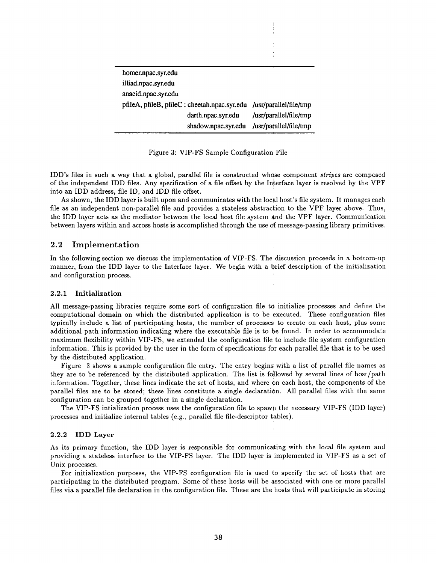| /usr/parallel/file/tmp |
|------------------------|
| /usr/parallel/file/tmp |
| /usr/parallel/file/tmp |
|                        |

Figure 3: VIP-FS Sample Configuration File

IDD's files in such a way that a global, parallel file is constructed whose component *stripes* are composed of the independent IDD files. Any specification of a file offset by the Interface layer is resolved by the VPF into an IDD address, file ID, and IDD file offset.

As shown, the IDD layer is built upon and communicates with the local host's file system. It manages each file as an independent non-parallel file and provides a stateless abstraction to the VPF layer above. Thus, the IDD layer acts as the mediator between the local host file system and the VPF layer. Communication between layers within and across hosts is accomplished through the use of message-passing library primitives.

#### **2.2** Implementation

In the following section we discuss the implementation of VIP-FS. The discussion proceeds in a bottom-up manner, from the IDD layer to the Interface layer. We begin with a brief description of the initialization and configuration process.

#### 2.2.1 Initialization

All message-passing libraries require some sort of configuration file to initialize processes and define the computational domain on which the distributed application is to be executed. These configuration files typically include a list of participating hosts, the number of processes to create on each host, plus some additional path information indicating where the executable file is to be found. In order to accommodate maximum flexibility within VIP-FS, we extended the configuration file to include file system configuration information. This is provided by the user in the form of specifications for each parallel file that is to be used by the distributed application.

Figure 3 shows a sample configuration file entry. The entry begins with a list of parallel file names as they are to be referenced by the distributed application. The list is followed by several lines of host/path information. Together, these lines indicate the set of hosts, and where on each host, the components of the parallel files are to be stored; these lines constitute a single declaration. All parallel files with the same configuration can be grouped together in a single declaration.

The VIP-FS intialization process uses the configuration file to spawn the necessary VIP-FS (IDD layer) processes and initialize internal tables (e.g., parallel file file-descriptor tables).

#### **2.2.2 IDD** Layer

As its primary function, the IDD layer is responsible for communicating with the local file system and providing a stateless interface to the VIP-FS layer. The IDD layer is implemented in VIP-FS as a set of Unix processes.

For initialization purposes, the VIP-FS configuration file is used to specify the set of hosts that are participating in the distributed program. Some of these hosts will be associated with one or more parallel files via a parallel file declaration in the configuration file. These are the hosts that will participate in storing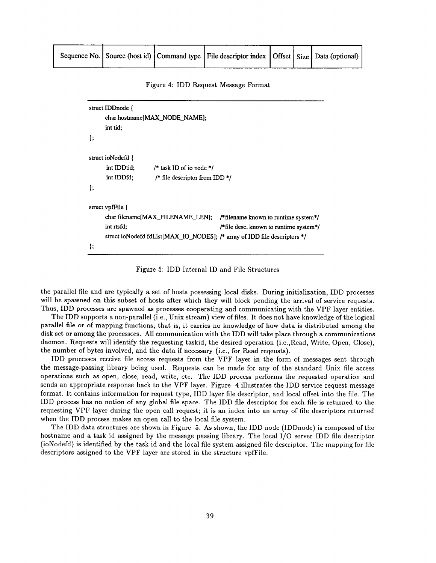|  |  |  | Sequence No. Source (host id) Command type   File descriptor index   Offset   Size   Data (optional) |  |  |  |
|--|--|--|------------------------------------------------------------------------------------------------------|--|--|--|
|--|--|--|------------------------------------------------------------------------------------------------------|--|--|--|

Figure 4: IDD Request Message Format

```
struct IDDnode { 
     char hostname[MAX_NODE_NAME]; 
     int rid; 
}; 
struct ioNodefd { 
      int IDDtid; 
      int IDDfd; 
}; 
                      /* task ID of io node */ 
                       /* file descriptor from IDD */ 
struct vpfFile { 
     char filename[MAX_FILENAME_LEN]; /*filename known to runtime system*/ 
     int rtsfd; /*file desc. known to runtime system*/ 
     struct ioNodefd fdList[MAX IO NODES]; /* array of IDD file descriptors */
};
```
Figure 5: IDD Internal ID and File Structures

the parallel file and are typically a set of hosts possessing local disks. During initialization, IDD processes will be spawned on this subset of hosts after which they will block pending the arrival of service requests. Thus, IDD processes are spawned as processes cooperating and communicating with the VPF layer entities.

The IDD supports a non-parallel (i.e., Unix stream) view of files. It does not have knowledge of the logical parallel file or of mapping functions; that is, it carries no knowledge of how data is distributed among the disk set or among the processors. All communication with the IDD will take place through a communications daemon. Requests will identify the requesting taskid, the desired operation (i.e.,Read, Write, Open, Close), the number of bytes involved, and the data if necessary (i.e., for Read reqeusts).

IDD processes receive file access requests from the VPF layer in the form of messages sent through the message-passing library being used. Requests can be made for any of the standard Unix file access operations such as open, close, read, write, etc. The IDD process performs the requested operation and sends an appropriate response back to the VPF layer. Figure 4 illustrates the IDD service request message format. It contains information for request type, IDD layer file descriptor, and local offset into the file. The IDD process has no notion of any global file space. The IDD file descriptor for each file is returned to the requesting VPF layer during the open call request; it is an index into an array of file descriptors returned when the IDD process makes an open call to the local file system.

The IDD data structures are shown in Figure 5. As shown, the IDD node (IDDnode) is composed of the hostname and a task id assigned by the message passing library. The local I/O server IDD file descriptor (ioNodefd) is identified by the task id and the local file system assigned file descriptor. The mapping for file descriptors assigned to the VPF layer are stored in the structure vpfFile.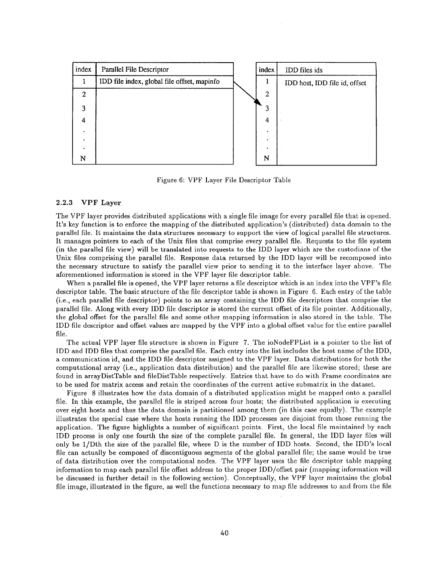

Figure 6: VPF Layer File Descriptor Table

#### 2.2.3 VPF Layer

The VPF layer provides distributed applications with a single file image for every parallel file that is opened. It's key function is to enforce the mapping of the distributed application's (distributed) data domain to the parallel file. It maintains the data structures necessary to support the view of logical parallel file structures. It manages pointers to each of the Unix files that comprise every parallel file. Requests to the file system (in the parallel file view) will be translated into requests to the IDD layer which are the custodians of the Unix files comprising the parallel file. Response data returned by the IDD layer will be recomposed into the necessary structure to satisfy the parallel view prior to sending it to the interface layer above. The aforementioned information is stored in the VPF layer file descriptor table.

When a parallel file is opened, the VPF layer returns a file descriptor which is an index into the VPF's file descriptor table. The basic structure of the file descriptor table is shown in Figure 6. Each entry of the table (i.e., each parallel file descriptor) points to an array containing the IDD file descriptors that comprise the parallel file. Along with every IDD file descriptor is stored the current offset of its file pointer. Additionally, the global offset for the parallel file and some other mapping information is also stored in the table. The IDD file descriptor and offset values are mapped by the VPF into a global offset value for the entire parallel file.

actual VPF layer file structure is shown in Figure 7. The ioNodeFPList is a pointer to the list of IDD and IDD files that comprise the parallel file. Each entry into the list includes the host name of the IDD, a communication id, and the IDD file descriptor assigned to the VPF layer. Data distributions for both the computational array (i.e., application data distribution) and the parallel file are likewise stored; these are found in arrayDistTable and fileDistTable respectively. Entries that have to do with Frame coordinates are to be used for matrix access and retain the coordinates of the current active submatrix in the dataset.

Figure 8 illustrates how the data domain of a distributed application might be mapped onto a parallel file. In this example, the parallel file is striped across four hosts; the distributed application is executing over eight hosts and thus the data domain is partitioned among them (in this case equally). The example illustrates the special case where the hosts running the IDD processes are disjoint from those running the application. The figure highlights a number of significant points. First, the local file maintained by each IDD process is only one fourth the size of the complete parallel file. In general, the IDD layer files will only be 1/Dth the size of the parallel file, where D is the number of IDD hosts. Second, the IDD's local file can actually be composed of discontiguous segments of the global parallel file; the same would be true of data distribution over the computational nodes. The VPF layer uses the file descriptor table mapping information to map each parallel file offset address to the proper IDD/offset pair (mapping information will be discussed in further detail in the following section). Conceptually, the VPF layer maintains the global file image, illustrated in the figure, as well the functions necessary to map file addresses to and from the file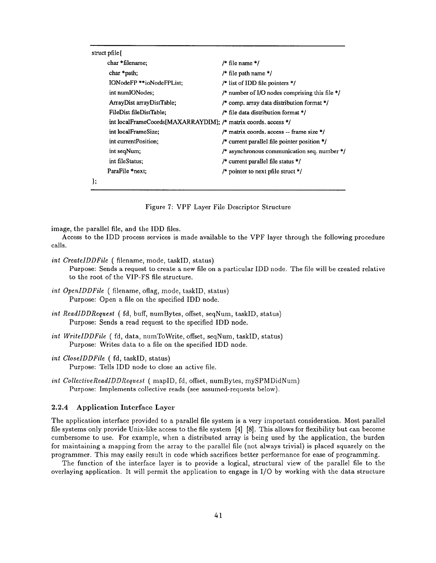| struct pfile {                                                 |                                                  |
|----------------------------------------------------------------|--------------------------------------------------|
| char *filename:                                                | $/*$ file name $*$ /                             |
| char *path;                                                    | /* file path name $*/$                           |
| ION odeFP *** ioN odeFPL ist:                                  | /* list of IDD file pointers $*/$                |
| int numIONodes:                                                | /* number of I/O nodes comprising this file $*/$ |
| ArrayDist arrayDistTable:                                      | /* comp. array data distribution format */       |
| FileDist fileDistTable:                                        | /* file data distribution format */              |
| int localFrameCoords[MAXARRAYDIM]; /* matrix coords. access */ |                                                  |
| int localFrameSize:                                            | /* matrix coords, access -- frame size */        |
| int current Position:                                          | /* current parallel file pointer position */     |
| int seqNum;                                                    | $/*$ asynchronous communication seq. number $*/$ |
| int fileStatus:                                                | /* current parallel file status */               |
| ParaFile *next:                                                | /* pointer to next pfile struct $*/$             |
| ł;                                                             |                                                  |

Figure 7: VPF Layer File Descriptor Structure

image, the parallel file, and the IDD files.

Access to the IDD process services is made available to the VPF layer through the following procedure calls.

*int CreatelDDFile (* filename, mode, taskID, status)

Purpose: Sends a request to create a new file on a particular IDD node. The file will be created relative to the root of the VIP-FS file structure.

- *int OpenIDDFile (* filename, oflag, mode, taskID, status) Purpose: Open a file on the specified IDD node.
- *int ReadIDDRequest* ( fd, buff, numBytes, offset, seqNum, taskID, status) Purpose: Sends a read request to the specified IDD node.
- *int WritelDDFile (* fd, data, numToWrite, offset, seqNum, taskID, status) Purpose: Writes data to a file on the specified IDD node.
- *int GloselDDFile (* fd, tasklD, status) Purpose: Tells IDD node to close an active file.
- *int CollectiveReadlDDRequest (* mapID, fd, offset, numBytes, mySPMDidNum) Purpose: Implements collective reads (see assumed-requests below).

#### 2.2.4 Application Interface Layer

The application interface provided to a parallel file system is a very important consideration. Most parallel file systems only provide Unix-like access to the file system [4] [8]. This allows for flexibility but can become cumbersome to use. For example, when a distributed array is being used by the application, the burden for maintaining a mapping from the array to the parallel file (not always trivial) is placed squarely on the programmer. This may easily result in code which sacrifices better performance for ease of programming.

The function of the interface layer is to provide a logical, structural view of the parallel file to the overlaying application. It will permit the application to engage in I/O by working with the data structure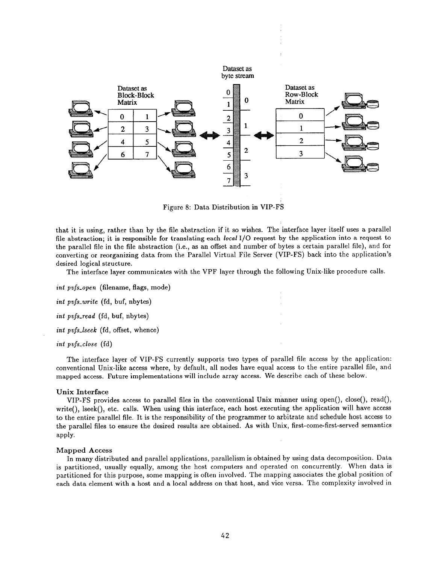

Figure 8: Data Distribution in VIP-FS

that it is using, rather than by the file abstraction if it so wishes. The interface layer itself uses a parallel file abstraction; it is responsible for translating each *local* I/O request by the application into a request to the parallel file in the file abstraction (i.e., as an offset and number of bytes a certain parallel file), and for converting or reorganizing data from the Parallel Virtual File Server (VIP-FS) back into the application's desired logical structure.

The interface layer communicates with the VPF layer through the following Unix-like procedure calls.

```
int pvfs_open (filename, flags, mode)
int pvfs_write (fd, buf, nbytes)
int pvfs_read (fd, buf, nbytes) 
int pvfs_lseek (fd, offset, whence)
in! pvfs_close (fd)
```
The interface layer of VIP-FS currently supports two types of parallel file access by the application: conventional Unix-like access where, by default, all nodes have equal access to the entire parallel file, and mapped access. Future implementations will include array access. We describe each of these below.

#### Unix Interface

VIP-FS provides access to parallel files in the conventional Unix manner using open(), close(), read(), write(), lseek(), etc. calls. When using this interface, each host executing the application will have access to the entire parallel file. It is the responsibility of the programmer to arbitrate and schedule host access to the parallel files to ensure the desired results are obtained. As with Unix, first-come-first-served semantics apply.

#### Mapped Access

In many distributed and parallel applications, parallelism is obtained by using data decomposition. Data is partitioned, usually equally, among the host computers and operated on concurrently. When data is partitioned for this purpose, some mapping is often involved. The mapping associates the global position of each data element with a host and a local address on that host, and vice versa. The complexity involved in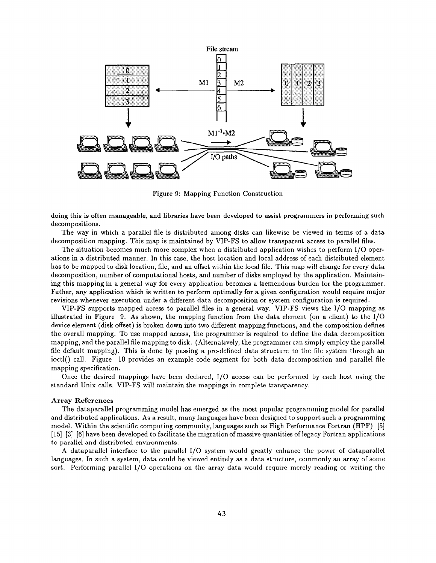

Figure 9: Mapping Function Construction

doing this is often manageable, and libraries have been developed to assist programmers in performing such decompositions.

The way in which a parallel file is distributed among disks can likewise be viewed in terms of a data decomposition mapping. This map is maintained by VIP-FS to allow transparent access to parallel files.

The situation becomes much more complex when a distributed application wishes to perform I/O operations in a distributed manner. In this case, the host location and local address of each distributed element has to be mapped to disk location, file, and an offset within the local file. This map will change for every data decomposition, number of computational hosts, and number of disks employed by the application. Maintaining this mapping in a general way for every application becomes a tremendous burden for the programmer. Futher, any application which is written to perform optimally for a given configuration would require major revisions whenever execution under a different data decomposition or system configuration is required.

VIP-FS supports mapped access to parallel files in a general way. VIP-FS views the I/O mapping as illustrated in Figure 9. As shown, the mapping function from the data element (on a client) to the I/O device element (disk offset) is broken down into two different mapping functions, and the composition defines the overall mapping. To use mapped access, the programmer is required to define the data decomposition mapping, and the parallel file mapping to disk. (Alternatively, the programmer can simply employ the parallel file default mapping). This is done by passing a pre-defined data structure to the file system through an ioctl() call. Figure 10 provides an example code segment for both data decomposition and parallel file mapping specification.

Once the desired mappings have been declared, I/O access can be performed by each host using the standard Unix calls. VIP-FS will maintain the mappings in complete transparency.

#### **Array** References

The dataparallel programming model has emerged as the most popular programming model for parallel and distributed applications. As a result, many languages have been designed to support such a programming model. Within the scientific computing community, languages such as High Performance Fortran (HPF) [5] [15] [3] [6] have been developed to facilitate the migration of massive quantities of legacy Fortran applications to parallel and distributed environments.

A dataparallel interface to the parallel I/O system would greatly enhance the power of dataparallel languages. In such a system, data could be viewed entirely as a data structure, commonly an array of some sort. Performing parallel I/O operations on the array data would require merely reading or writing the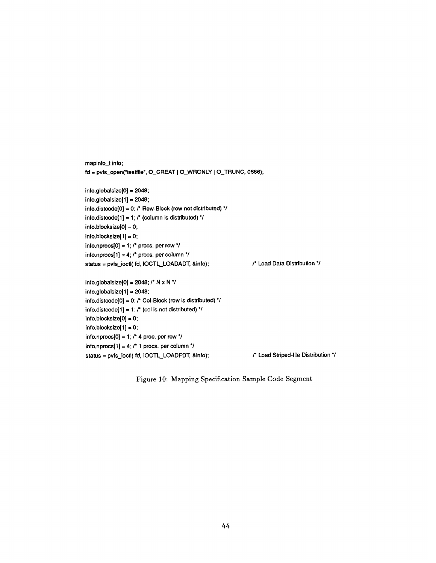mapinfo\_t info; fd = pvfs\_open("tesffile", O\_CREAT I O\_WRONLY I O\_TRUNC, 0666);

```
info.globalsize[0] = 2048;info.globalsize[1] = 2048;info.distcode[0] = O;/* Row-Block (row not distributed) */ 
info.distcode[1] = 1; \prime* (column is distributed) */
info.blocksize[O] = 0; 
into.blocksize[1] = 0;info.nprocs[0] = 1; /* procs. per row */
info.nprocs[1] = 4; /* procs, per column */
status = pvfs_ioctl( fd, IOCTL_LOADADT, &info); /* Load Data Distribution */
```

```
info.globalsize[0] = 2048; \prime* N x N */
info.globalsize[1] = 2048;info.distcode[0] = 0; /* Col-Block (row is distributed) */
info.distcode[1] = 1; /* (col is not distributed) */
info.blocksize[0] = 0;info.blocksize[1] = 0;info.nprocs[0] = 1; /* 4 proc. per row */
info.nprocs[1] = 4; \prime* 1 procs. per column */
status = pvfs_ioctl( fd, IOCTL_LOADFDT, &info); /* Load Striped-file Distribution */
```
Figure 10: Mapping Specification Sample Code Segment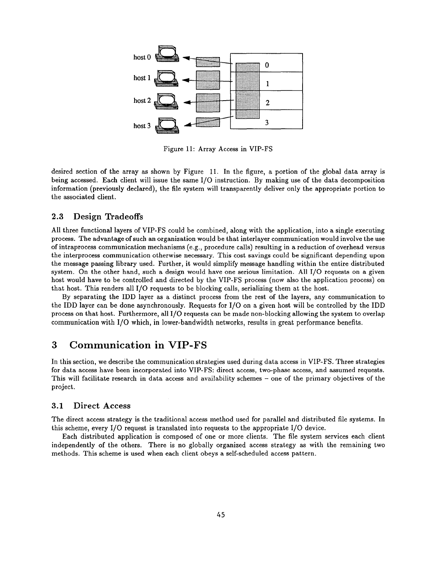![](_page_10_Figure_0.jpeg)

Figure 11: Array Access in VIP-FS

desired section of the array as shown by Figure 11. In the figure, a portion of the global data array is being accessed. Each client will issue the same I/O instruction. By making use of the data decomposition information (previously declared), the file system will transparently deliver only the appropriate portion to the associated client.

### 2.3 Design Tradeoffs

All three functional layers of VIP-FS could be combined, along with the application, into a single executing process. The advantage of such an organization would be that interlayer communication would involve the use of intraprocess communication mechanisms (e.g., procedure calls) resulting in a reduction of overhead versus the interprocess communication otherwise necessary. This cost savings could be significant depending upon the message passing library used. Further, it would simplify message handling within the entire distributed system. On the other hand, such a design would have one serious limitation. All I/O requests on a given host would have to be controlled and directed by the VIP-FS process (now also the application process) on that host. This renders all I/O requests to be blocking calls, serializing them at the host.

By separating the IDD layer as a distinct process from the rest of the layers, any communication to the IDD layer can be done asynchronously. Requests for I/O on a given host will be controlled by the IDD process on that host. Furthermore, all I/O requests can be made non-blocking allowing the system to overlap communication with I/O which, in lower-bandwidth networks, results in great performance benefits.

# **3 Communication in VIP-FS**

In this section, we describe the communication strategies used during data access in VIP-FS. Three strategies for data access have been incorporated into VIP-FS: direct access, two-phase access, and assumed requests. This will facilitate research in data access and availability schemes - one of the primary objectives of the project.

#### 3.1 Direct Access

The direct access strategy is the traditional access method used for parallel and distributed file systems. In this scheme, every I/O request is translated into requests to the appropriate I/O device.

Each distributed application is composed of one or more clients. The file system services each client independently of the others. There is no globally organized access strategy as with the remaining two methods. This scheme is used when each client obeys a self-scheduled access pattern.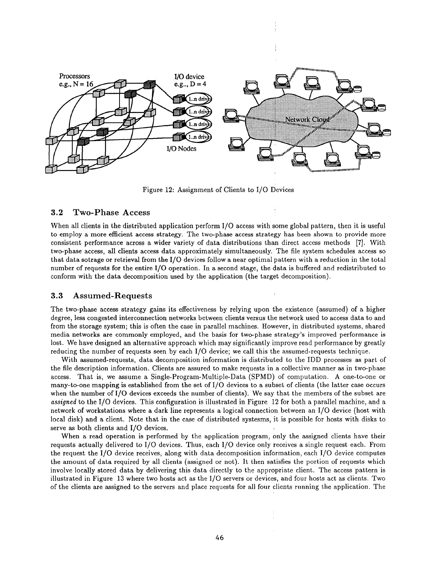![](_page_11_Figure_0.jpeg)

Figure 12: Assignment of Clients to I/O Devices

### 3.2 Two-Phase Access

When all clients in the distributed application perform I/O access with some global pattern, then it is useful to employ a more efficient access strategy. The two-phase access strategy has been shown to provide more consistent performance across a wider variety of data distributions than direct access methods [7]. With two-phase access, all clients access data approximately simultaneously. The file system schedules access so that data sotrage or retrieval from the I/O devices follow a near optimal pattern with a reduction in the total number of requests for the entire I/O operation. In a second stage, the data is buffered and redistributed to conform with the data decomposition used by the application (the target decomposition).

### 3.3 Assumed-Requests

The two-phase access strategy gains its effectiveness by relying upon the existence (assumed) of a higher degree, less congested interconnection networks between clients versus the network used to access data to and from the storage system; this is often the case in parallel machines. However, in distributed systems, shared media networks are commonly employed, and the basis for two-phase strategy's improved performance is lost. We have designed an alternative approach which may significantly improve read performance by greatly reducing the number of requests seen by each I/O device; we call this the assumed-requests technique.

With assumed-requests, data decomposition information is distributed to the IDD processes as part of the file description information. Clients are assured to make requests in a collective manner as in two-phase access. That is, we assume a Single-Program-Multiple-Data (SPMD) of computation. A one-to-one or many-to-one mapping is established from the set of I/O devices to a subset of clients (the latter case occurs when the number of I/O devices exceeds the number of clients). We say that the members of the subset are *assigned* to the I/O devices. This configuration is illustrated in Figure 12 for both a parallel machine, and a network of workstations where a dark line represents a logical connection between an I/O device (host with local disk) and a client. Note that in the case of distributed systesms, it is possible for hosts with disks to serve as both clients and I/O devices.

When a read operation is performed by the application program, only the assigned clients have their requests actually delivered to I/O devices. Thus, each I/O device only receives a single request each. From the request the I/O device receives, along with data decomposition information, each I/O device computes the amount of data required by all clients (assigned or not). It then satisfies the portion of requests which involve locally stored data by delivering this data directly to the appropriate client. The access pattern is illustrated in Figure 13 where two hosts act as the I/O servers or devices, and four hosts act as clients. Two of the clients are assigned to the servers and place requests for all four clients running the application. The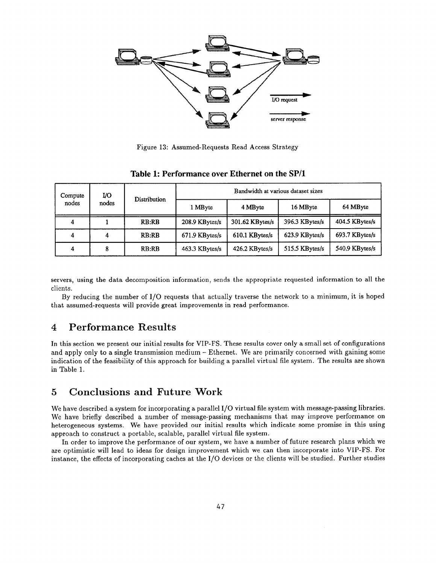![](_page_12_Figure_0.jpeg)

Figure 13: Assumed-Requests Read Access Strategy

| Compute<br>nodes | VO.   | <b>Distribution</b> | Bandwidth at various dataset sizes |                 |                |                |
|------------------|-------|---------------------|------------------------------------|-----------------|----------------|----------------|
|                  | nodes |                     | 1 MByte                            | 4 MByte         | 16 MByte       | 64 MByte       |
|                  |       | <b>RB:RB</b>        | 208.9 KBytes/s                     | 301.62 KBytes/s | 396.3 KBytes/s | 404.5 KBytes/s |
|                  |       | RB:RB               | 671.9 KBytes/s                     | 610.1 KBytes/s  | 623.9 KBytes/s | 693.7 KBytes/s |
|                  | o     | RB:RB               | 463.3 KBytes/s                     | 426.2 KBytes/s  | 515.5 KBytes/s | 540.9 KBytes/s |

servers, using the data decomposition information, sends the appropriate requested information to all the clients.

By reducing the number of I/O requests that actually traverse the network to a minimum, it is hoped that assumed-requests will provide great improvements in read performance.

# **4 Performance Results**

In this section we present our initial results for VIP-FS. These results cover only a small set of configurations and apply only to a single transmission medium - Ethernet. We are primarily concerned with gaining some indication of the feasibility of this approach for building a parallel virtual file system. The results are shown in Table 1.

# **5 Conclusions and Future Work**

We have described a system for incorporating a parallel I/O virtual file system with message-passing libraries. We have briefly described a number of message-passing mechanisms that may improve performance on heterogeneous systems. We have provided our initial results which indicate some promise in this using approach to construct a portable, scalable, parallel virtual file system.

In order to improve the performance of our system, we have a number of future research plans which we are optimistic will lead to ideas for design improvement which we can then incorporate into VIP-FS. For instance, the effects of incorporating caches at the I/O devices or the clients will be studied. Further studies